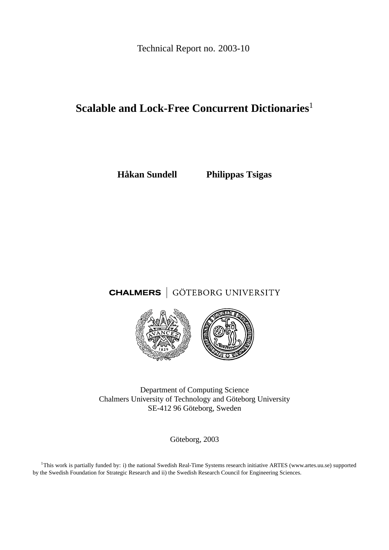Technical Report no. 2003-10

# **Scalable and Lock-Free Concurrent Dictionaries**<sup>1</sup>

**Håkan Sundell Philippas Tsigas**

# **CHALMERS** | GÖTEBORG UNIVERSITY



Department of Computing Science Chalmers University of Technology and Göteborg University SE-412 96 Göteborg, Sweden

Göteborg, 2003

<sup>1</sup>This work is partially funded by: i) the national Swedish Real-Time Systems research initiative ARTES (www.artes.uu.se) supported by the Swedish Foundation for Strategic Research and ii) the Swedish Research Council for Engineering Sciences.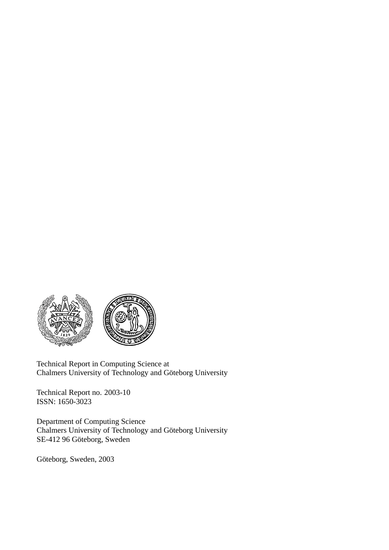

Technical Report in Computing Science at Chalmers University of Technology and Göteborg University

Technical Report no. 2003-10 ISSN: 1650-3023

Department of Computing Science Chalmers University of Technology and Göteborg University SE-412 96 Göteborg, Sweden

Göteborg, Sweden, 2003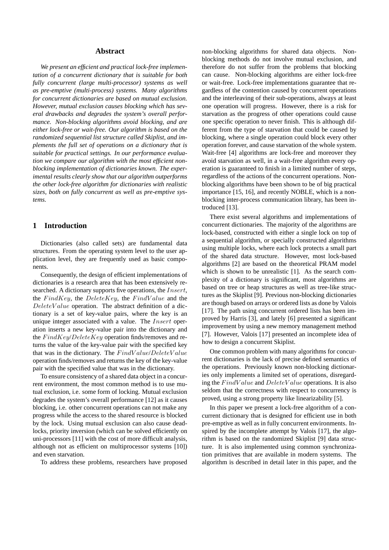#### **Abstract**

*We present an efficient and practical lock-free implementation of a concurrent dictionary that is suitable for both fully concurrent (large multi-processor) systems as well as pre-emptive (multi-process) systems. Many algorithms for concurrent dictionaries are based on mutual exclusion. However, mutual exclusion causes blocking which has several drawbacks and degrades the system's overall performance. Non-blocking algorithms avoid blocking, and are either lock-free or wait-free. Our algorithm is based on the randomized sequential list structure called Skiplist, and implements the full set of operations on a dictionary that is suitable for practical settings. In our performance evaluation we compare our algorithm with the most efficient nonblocking implementation of dictionaries known. The experimental results clearly show that our algorithm outperforms the other lock-free algorithm for dictionaries with realistic sizes, both on fully concurrent as well as pre-emptive systems.*

# **1 Introduction**

Dictionaries (also called sets) are fundamental data structures. From the operating system level to the user application level, they are frequently used as basic components.

Consequently, the design of efficient implementations of dictionaries is a research area that has been extensively researched. A dictionary supports five operations, the *Insert*, the  $FindKey$ , the  $DeleteKey$ , the  $FindValue$  and the  $DeleteValue$  operation. The abstract definition of a dictionary is a set of key-value pairs, where the key is an unique integer associated with a value. The *Insert* operation inserts a new key-value pair into the dictionary and the  $FindKey/DeleteKey$  operation finds/removes and returns the value of the key-value pair with the specified key that was in the dictionary. The  $FindValue/DeleteValue$ operation finds/removes and returns the key of the key-value pair with the specified value that was in the dictionary.

To ensure consistency of a shared data object in a concurrent environment, the most common method is to use mutual exclusion, i.e. some form of locking. Mutual exclusion degrades the system's overall performance [12] as it causes blocking, i.e. other concurrent operations can not make any progress while the access to the shared resource is blocked by the lock. Using mutual exclusion can also cause deadlocks, priority inversion (which can be solved efficiently on uni-processors [11] with the cost of more difficult analysis, although not as efficient on multiprocessor systems [10]) and even starvation.

To address these problems, researchers have proposed

non-blocking algorithms for shared data objects. Nonblocking methods do not involve mutual exclusion, and therefore do not suffer from the problems that blocking can cause. Non-blocking algorithms are either lock-free or wait-free. Lock-free implementations guarantee that regardless of the contention caused by concurrent operations and the interleaving of their sub-operations, always at least one operation will progress. However, there is a risk for starvation as the progress of other operations could cause one specific operation to never finish. This is although different from the type of starvation that could be caused by blocking, where a single operation could block every other operation forever, and cause starvation of the whole system. Wait-free [4] algorithms are lock-free and moreover they avoid starvation as well, in a wait-free algorithm every operation is guaranteed to finish in a limited number of steps, regardless of the actions of the concurrent operations. Nonblocking algorithms have been shown to be of big practical importance [15, 16], and recently NOBLE, which is a nonblocking inter-process communication library, has been introduced [13].

There exist several algorithms and implementations of concurrent dictionaries. The majority of the algorithms are lock-based, constructed with either a single lock on top of a sequential algorithm, or specially constructed algorithms using multiple locks, where each lock protects a small part of the shared data structure. However, most lock-based algorithms [2] are based on the theoretical PRAM model which is shown to be unrealistic [1]. As the search complexity of a dictionary is significant, most algorithms are based on tree or heap structures as well as tree-like structures as the Skiplist [9]. Previous non-blocking dictionaries are though based on arrays or ordered lists as done by Valois [17]. The path using concurrent ordered lists has been improved by Harris [3], and lately [6] presented a significant improvement by using a new memory management method [7]. However, Valois [17] presented an incomplete idea of how to design a concurrent Skiplist.

One common problem with many algorithms for concurrent dictionaries is the lack of precise defined semantics of the operations. Previously known non-blocking dictionaries only implements a limited set of operations, disregarding the  $FindValue$  and  $DeleteValue$  operations. It is also seldom that the correctness with respect to concurrency is proved, using a strong property like linearizability [5].

In this paper we present a lock-free algorithm of a concurrent dictionary that is designed for efficient use in both pre-emptive as well as in fully concurrent environments. Inspired by the incomplete attempt by Valois [17], the algorithm is based on the randomized Skiplist [9] data structure. It is also implemented using common synchronization primitives that are available in modern systems. The algorithm is described in detail later in this paper, and the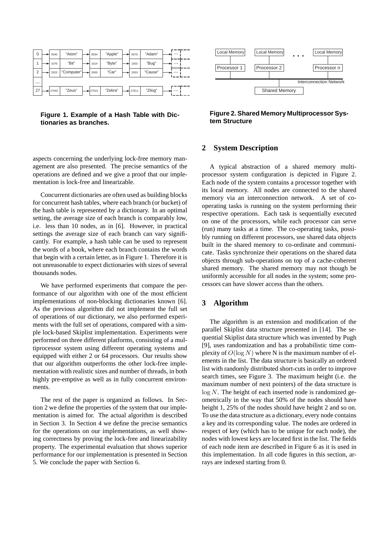

**Figure 1. Example of a Hash Table with Dictionaries as branches.**

aspects concerning the underlying lock-free memory management are also presented. The precise semantics of the operations are defined and we give a proof that our implementation is lock-free and linearizable.

Concurrent dictionaries are often used as building blocks for concurrent hash tables, where each branch (or bucket) of the hash table is represented by a dictionary. In an optimal setting, the average size of each branch is comparably low, i.e. less than 10 nodes, as in [6]. However, in practical settings the average size of each branch can vary significantly. For example, a hash table can be used to represent the words of a book, where each branch contains the words that begin with a certain letter, as in Figure 1. Therefore it is not unreasonable to expect dictionaries with sizes of several thousands nodes.

We have performed experiments that compare the performance of our algorithm with one of the most efficient implementations of non-blocking dictionaries known [6]. As the previous algorithm did not implement the full set of operations of our dictionary, we also performed experiments with the full set of operations, compared with a simple lock-based Skiplist implementation. Experiments were performed on three different platforms, consisting of a multiprocessor system using different operating systems and equipped with either 2 or 64 processors. Our results show that our algorithm outperforms the other lock-free implementation with realistic sizes and number of threads, in both highly pre-emptive as well as in fully concurrent environments.

The rest of the paper is organized as follows. In Section 2 we define the properties of the system that our implementation is aimed for. The actual algorithm is described in Section 3. In Section 4 we define the precise semantics for the operations on our implementations, as well showing correctness by proving the lock-free and linearizability property. The experimental evaluation that shows superior performance for our implementation is presented in Section 5. We conclude the paper with Section 6.



**Figure 2. Shared Memory Multiprocessor System Structure**

# **2 System Description**

A typical abstraction of a shared memory multiprocessor system configuration is depicted in Figure 2. Each node of the system contains a processor together with its local memory. All nodes are connected to the shared memory via an interconnection network. A set of cooperating tasks is running on the system performing their respective operations. Each task is sequentially executed on one of the processors, while each processor can serve (run) many tasks at a time. The co-operating tasks, possibly running on different processors, use shared data objects built in the shared memory to co-ordinate and communicate. Tasks synchronize their operations on the shared data objects through sub-operations on top of a cache-coherent shared memory. The shared memory may not though be uniformly accessible for all nodes in the system; some processors can have slower access than the others.

# **3 Algorithm**

The algorithm is an extension and modification of the parallel Skiplist data structure presented in [14]. The sequential Skiplist data structure which was invented by Pugh [9], uses randomization and has a probabilistic time complexity of  $O(\log N)$  where N is the maximum number of elements in the list. The data structure is basically an ordered list with randomly distributed short-cuts in order to improve search times, see Figure 3. The maximum height (i.e. the maximum number of next pointers) of the data structure is  $log N$ . The height of each inserted node is randomized geometrically in the way that 50% of the nodes should have height 1, 25% of the nodes should have height 2 and so on. To use the data structure as a dictionary, every node contains a key and its corresponding value. The nodes are ordered in respect of key (which has to be unique for each node), the nodes with lowest keys are located first in the list. The fields of each node item are described in Figure 6 as it is used in this implementation. In all code figures in this section, arrays are indexed starting from 0.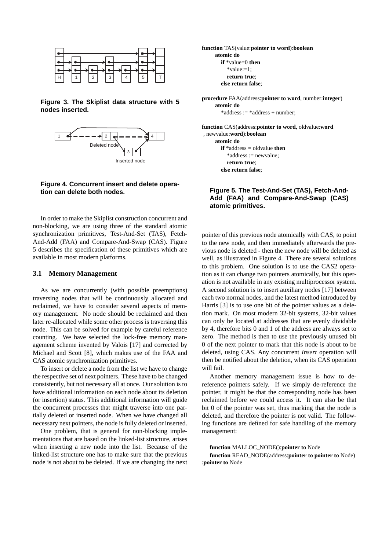

**Figure 3. The Skiplist data structure with 5 nodes inserted.**



**Figure 4. Concurrent insert and delete operation can delete both nodes.**

In order to make the Skiplist construction concurrent and non-blocking, we are using three of the standard atomic synchronization primitives, Test-And-Set (TAS), Fetch-And-Add (FAA) and Compare-And-Swap (CAS). Figure 5 describes the specification of these primitives which are available in most modern platforms.

#### **3.1 Memory Management**

As we are concurrently (with possible preemptions) traversing nodes that will be continuously allocated and reclaimed, we have to consider several aspects of memory management. No node should be reclaimed and then later re-allocated while some other process is traversing this node. This can be solved for example by careful reference counting. We have selected the lock-free memory management scheme invented by Valois [17] and corrected by Michael and Scott [8], which makes use of the FAA and CAS atomic synchronization primitives.

To insert or delete a node from the list we have to change the respective set of next pointers. These have to be changed consistently, but not necessary all at once. Our solution is to have additional information on each node about its deletion (or insertion) status. This additional information will guide the concurrent processes that might traverse into one partially deleted or inserted node. When we have changed all necessary next pointers, the node is fully deleted or inserted.

One problem, that is general for non-blocking implementations that are based on the linked-list structure, arises when inserting a new node into the list. Because of the linked-list structure one has to make sure that the previous node is not about to be deleted. If we are changing the next **function** TAS(value:**pointer to word**):**boolean atomic do if** \*value=0 **then**  $*$ value:=1: **return true**; **else return false**;

**procedure** FAA(address:**pointer to word**, number:**integer**) **atomic do** \*address := \*address + number;

**function** CAS(address:**pointer to word**, oldvalue:**word** , newvalue:**word**):**boolean atomic do if** \*address = oldvalue **then** \*address := newvalue; **return true**; **else return false**;

# **Figure 5. The Test-And-Set (TAS), Fetch-And-Add (FAA) and Compare-And-Swap (CAS) atomic primitives.**

pointer of this previous node atomically with CAS, to point to the new node, and then immediately afterwards the previous node is deleted - then the new node will be deleted as well, as illustrated in Figure 4. There are several solutions to this problem. One solution is to use the CAS2 operation as it can change two pointers atomically, but this operation is not available in any existing multiprocessor system. A second solution is to insert auxiliary nodes [17] between each two normal nodes, and the latest method introduced by Harris [3] is to use one bit of the pointer values as a deletion mark. On most modern 32-bit systems, 32-bit values can only be located at addresses that are evenly dividable by 4, therefore bits 0 and 1 of the address are always set to zero. The method is then to use the previously unused bit 0 of the next pointer to mark that this node is about to be deleted, using CAS. Any concurrent *Insert* operation will then be notified about the deletion, when its CAS operation will fail.

Another memory management issue is how to dereference pointers safely. If we simply de-reference the pointer, it might be that the corresponding node has been reclaimed before we could access it. It can also be that bit 0 of the pointer was set, thus marking that the node is deleted, and therefore the pointer is not valid. The following functions are defined for safe handling of the memory management:

#### **function** MALLOC\_NODE():**pointer to** Node

**function** READ\_NODE(address:**pointer to pointer to** Node) :**pointer to** Node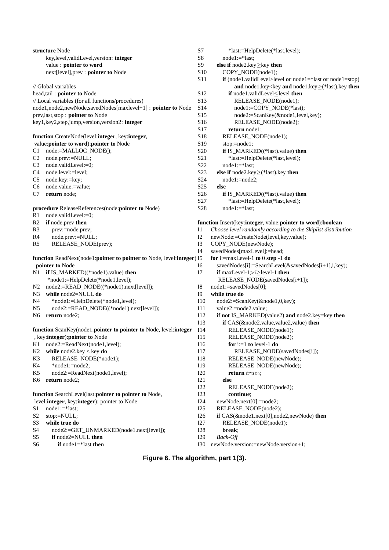| structure Node                                                                          |                                                                       | S7               | *last:=HelpDelete(*last,level);                                                                                               |
|-----------------------------------------------------------------------------------------|-----------------------------------------------------------------------|------------------|-------------------------------------------------------------------------------------------------------------------------------|
|                                                                                         | key, level, validLevel, version: integer                              | S8               | $node1:=*last;$                                                                                                               |
|                                                                                         | value : pointer to word                                               | S9               | else if $node2 \text{.} key \geq key$ then                                                                                    |
|                                                                                         | next[level], prev: pointer to Node                                    | S10              | COPY_NODE(node1);                                                                                                             |
|                                                                                         |                                                                       | S <sub>11</sub>  | if (node1.validLevel>level or node1=*last or node1=stop)                                                                      |
| // Global variables<br>head,tail: pointer to Node                                       |                                                                       | S <sub>12</sub>  | and node1.key <key and="" node1.key<math="">\geq(*last).key then<br/>if node1.validLevel <level td="" then<=""></level></key> |
|                                                                                         |                                                                       | S <sub>13</sub>  |                                                                                                                               |
| // Local variables (for all functions/procedures)                                       |                                                                       | S14              | RELEASE_NODE(node1);<br>node1:=COPY_NODE(*last);                                                                              |
| node1,node2,newNode,savedNodes[maxlevel+1]: pointer to Node                             |                                                                       | S15              | node2:=ScanKey(&node1,level,key);                                                                                             |
| prev, last, stop: pointer to Node<br>key1, key2, step, jump, version, version2: integer |                                                                       | S16              | RELEASE_NODE(node2);                                                                                                          |
|                                                                                         |                                                                       | S17              | return node1;                                                                                                                 |
| function CreateNode(level:integer, key:integer,                                         |                                                                       | S18              | RELEASE_NODE(node1);                                                                                                          |
|                                                                                         | value: pointer to word): pointer to Node                              | S <sub>19</sub>  | stop:=node1;                                                                                                                  |
| C1                                                                                      | node:=MALLOC_NODE();                                                  | S <sub>20</sub>  | if IS_MARKED((*last).value) then                                                                                              |
| C2                                                                                      | node.prev:=NULL;                                                      | S <sub>21</sub>  | *last:=HelpDelete(*last,level);                                                                                               |
| C <sub>3</sub>                                                                          | node.validLevel:=0;                                                   | S <sub>22</sub>  | $node1:=*last;$                                                                                                               |
| C4                                                                                      | node.level:=level;                                                    | S <sub>2</sub> 3 | else if $node2(key_{\geq}(*last).key$ then                                                                                    |
| C <sub>5</sub>                                                                          | node.key:=key;                                                        | S <sub>24</sub>  | $node1:=node2;$                                                                                                               |
| C6                                                                                      | node.value:=value;                                                    | S <sub>25</sub>  | else                                                                                                                          |
| C7                                                                                      | return node;                                                          | S <sub>26</sub>  | if $IS\_MARKED((*last).value)$ then                                                                                           |
|                                                                                         |                                                                       | S <sub>27</sub>  | *last:=HelpDelete(*last,level);                                                                                               |
|                                                                                         | procedure ReleaseReferences(node:pointer to Node)                     | S <sub>28</sub>  | $node1:=*last;$                                                                                                               |
| R1                                                                                      | node.validLevel:=0;                                                   |                  |                                                                                                                               |
| R <sub>2</sub>                                                                          | if node.prev then                                                     |                  | function Insert(key:integer, value:pointer to word):boolean                                                                   |
| R <sub>3</sub>                                                                          | prev:=node.prev;                                                      | 11               | Choose level randomly according to the Skiplist distribution                                                                  |
| R4                                                                                      | node.prev:=NULL;                                                      | I2               | newNode:=CreateNode(level,key,value);                                                                                         |
| R <sub>5</sub>                                                                          | RELEASE_NODE(prev);                                                   | I3               | COPY_NODE(newNode);                                                                                                           |
|                                                                                         |                                                                       | I <sub>4</sub>   | savedNodes[maxLevel]:=head;                                                                                                   |
|                                                                                         | function ReadNext(node1:pointer to pointer to Node, level:integer) I5 |                  | for i:= $maxLevel-1$ to 0 step -1 do                                                                                          |
| :pointer to Node                                                                        |                                                                       | I6               | savedNodes[i]:=SearchLevel(&savedNodes[i+1],i,key);                                                                           |
| N1.                                                                                     | if IS_MARKED((*node1).value) then                                     | I7               | if $maxLevel-1 > i \ge level-1$ then                                                                                          |
|                                                                                         | *node1:=HelpDelete(*node1,level);                                     |                  | RELEASE_NODE(savedNodes[i+1]);                                                                                                |
| N <sub>2</sub>                                                                          | node2:=READ_NODE((*node1).next[level]);                               | I8               | node1:=savedNodes[0];                                                                                                         |
| N3                                                                                      | while node2=NULL do                                                   | <b>I</b> 9       | while true do                                                                                                                 |
| N4                                                                                      | *node1:=HelpDelete(*node1,level);                                     | 110              | node2:=ScanKey(&node1,0,key);                                                                                                 |
| N5                                                                                      | node2:=READ_NODE((*node1).next[level]);                               | I11              | value2:=node2.value;                                                                                                          |
| N6                                                                                      | return node2;                                                         | 112              | if not IS_MARKED(value2) and node2.key=key then                                                                               |
|                                                                                         |                                                                       | I13              | if CAS(&node2.value,value2,value) then                                                                                        |
|                                                                                         | function ScanKey(node1:pointer to pointer to Node, level:integer      | I14              | RELEASE_NODE(node1);                                                                                                          |
|                                                                                         | , key: <b>integer</b> ): <b>pointer to</b> Node                       | I15              | RELEASE_NODE(node2);                                                                                                          |
| K1                                                                                      | node2:=ReadNext(node1,level);                                         | I16              | for i:=1 to level-1 do                                                                                                        |
| K <sub>2</sub>                                                                          | while $node2 \text{.} key < key \textbf{ do}$                         | 117              | RELEASE_NODE(savedNodes[i]);                                                                                                  |
| K3                                                                                      | RELEASE_NODE(*node1);                                                 | <b>I18</b>       | RELEASE_NODE(newNode);                                                                                                        |
| K4                                                                                      | *node1:=node2;                                                        | I19              | RELEASE_NODE(newNode);                                                                                                        |
| K5                                                                                      | node2:=ReadNext(node1,level);                                         | <b>I20</b>       | return true2;                                                                                                                 |
| K6                                                                                      | return node2;                                                         | I21              | else                                                                                                                          |
|                                                                                         |                                                                       | I22              | RELEASE_NODE(node2);                                                                                                          |
| function SearchLevel(last:pointer to pointer to Node,                                   |                                                                       | I23              | continue:                                                                                                                     |
| level: integer, key: integer): pointer to Node                                          |                                                                       | I24              | newNode.next[0]:=node2;                                                                                                       |
| S1                                                                                      | $node1:=*last;$                                                       | I25              | RELEASE_NODE(node2);                                                                                                          |
| S <sub>2</sub>                                                                          | stop:=NULL;                                                           | I26              | if CAS(&node1.next[0],node2,newNode) then                                                                                     |
| S3                                                                                      | while true do                                                         | I27              | RELEASE_NODE(node1);                                                                                                          |
| S4                                                                                      | node2:=GET_UNMARKED(node1.next[level]);                               | <b>I28</b>       | break;                                                                                                                        |
| S5                                                                                      | if node2=NULL then                                                    | I <sub>29</sub>  | Back-Off                                                                                                                      |
| S6                                                                                      | if node $l = *$ last then                                             | <b>I30</b>       | newNode.version:=newNode.version+1;                                                                                           |

# **Figure 6. The algorithm, part 1(3).**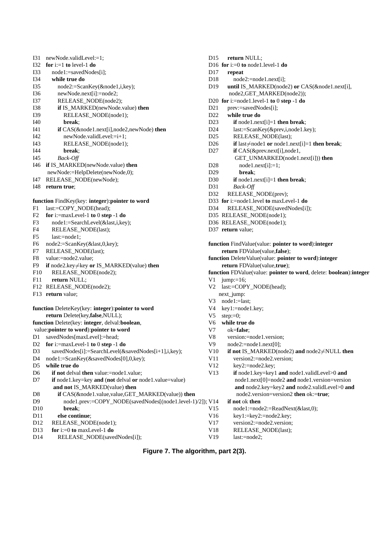- I31 newNode.validLevel:=1;
- **132 for**  $i:=1$  **to** level-1 **do**
- I33 node1:=savedNodes[i];
- I34 **while true do**
- I35 node2:=ScanKey(&node1,i,key);
- I36 newNode.next[i]:=node2;
- I37 RELEASE\_NODE(node2);
- I38 **if** IS\_MARKED(newNode.value) **then**
- I39 RELEASE\_NODE(node1);
- I40 **break**;
- I41 **if** CAS(&node1.next[i],node2,newNode) **then**
- I42 newNode.validLevel:=i+1;
- I43 RELEASE\_NODE(node1);
- I44 **break**;
- I45 *Back-Off*
- I46 **if** IS\_MARKED(newNode.value) **then** newNode:=HelpDelete(newNode,0);
- I47 RELEASE\_NODE(newNode);
- I48 **return true**;

#### **function** FindKey(key: **integer**):**pointer to word**

- F1 last:=COPY\_NODE(head);
- F2 **for** i:=maxLevel-1 **to** 0 **step** -1 **do**
- F3 node1:=SearchLevel(&last,i,key);
- F4 RELEASE\_NODE(last);
- F5 last:=node1;
- F6 node2:=ScanKey(&last,0,key);
- F7 RELEASE NODE(last);
- F8 value:=node2.value;
- F9 **if** node2.key≠key **or** IS\_MARKED(value) **then**<br>F10 RELEASE NODE(node2):
- RELEASE\_NODE(node2);
- F11 **return** NULL;
- F12 RELEASE\_NODE(node2);
- F13 **return** value;

#### **function** DeleteKey(key: **integer**):**pointer to word return** Delete(key,**false**,NULL);

#### **function** Delete(key: **integer**, delval:**boolean**,

- value:**pointer to word**):**pointer to word**
- D1 savedNodes[maxLevel]:=head;
- D2 **for** i:=maxLevel-1 **to** 0 **step** -1 **do**
- D3 savedNodes[i]:=SearchLevel(&savedNodes[i+1],i,key);
- D4 node1:=ScanKey(&savedNodes[0],0,key);
- D5 **while true do**
- D6 **if not** delval **then** value:=node1.value;
- D7 **if** node1.key=key **and** (**not** delval **or** node1.value=value) **and not** IS\_MARKED(value) **then**
- D8 **if** CAS(&node1.value,value,GET\_MARKED(value)) **then**
- D9 node1.prev:=COPY\_NODE(savedNodes[(node1.level-1)/2]); V14
- D10 **break**;
- D11 **else continue**;
- D12 RELEASE\_NODE(node1);
- D13 **for** i:=0 **to** maxLevel-1 **do**
- D14 RELEASE\_NODE(savedNodes[i]);
- D15 **return** NULL;
- D16 **for** i:=0 **to** node1.level-1 **do**
- D17 **repeat**
- D18 node2:=node1.next[i];
- D19 **until** IS\_MARKED(node2) **or** CAS(&node1.next[i], node2,GET\_MARKED(node2));
- D20 **for** i:=node1.level-1 **to** 0 **step** -1 **do**
- D21 prev:=savedNodes[i];
- D22 **while true do**
- D23 **if** node1.next[i]=1 **then break**;
- D24 last:=ScanKey(&prev,i,node1.key);
- D25 RELEASE\_NODE(last);
- D26 **if** last≠node1 **or** node1.next[i]=1 **then break**;<br>D27 **if** CAS(&prev.next[i].node1.
- if CAS(&prev.next[i],node1,
- GET\_UNMARKED(node1.next[i])) **then**
- D28 node1.next[i]:=1;
- D29 **break**;
- D30 **if** node1.next[i]=1 **then break**;
- D31 *Back-Off*
- D32 RELEASE\_NODE(prev);
- D33 **for** i:=node1.level **to** maxLevel-1 **do**
- D34 RELEASE\_NODE(savedNodes[i]);
- D35 RELEASE\_NODE(node1);
- D36 RELEASE\_NODE(node1);
- D37 **return** value;
- **function** FindValue(value: **pointer to word**):**integer return** FDValue(value,**false**);
- **function** DeleteValue(value: **pointer to word**):**integer return** FDValue(value,**true**);
- **function** FDValue(value: **pointer to word**, delete: **boolean**):**integer**
- V1  $jump:=16$ ;
- V2 last:=COPY\_NODE(head);
- next\_jump: V3 node1:=last;
- 
- V4 key1:=node1.key; V5  $step:=0$ ;
- 
- V6 **while true do** V7 ok=**false**;
- V8 version:=node1.version;
- V9 node2:=node1.next[0];
- V10 **if not** IS\_MARKED(node2) **and** node2≠NULL **then**<br>V11 version?:=node2 version:
- version2:=node2.version;
- V12 key2:=node2.key;
- V13 **if** node1.key=key1 **and** node1.validLevel>0 **and** node1.next[0]=node2 **and** node1.version=version **and** node2.key=key2 **and** node2.validLevel>0 **and** node2.version=version2 **then** ok:=**true**;

#### **if not** ok **then**

- V15 node1:=node2:=ReadNext(&last,0);
- V16 key1:=key2:=node2.key;
- V17 version2:=node2.version;
- V18 RELEASE\_NODE(last);
- V19 last:=node2;

# **Figure 7. The algorithm, part 2(3).**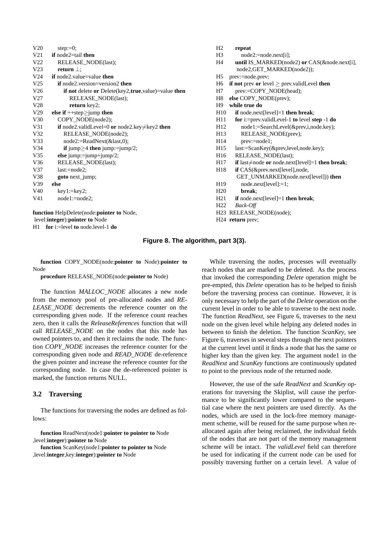| V <sub>20</sub> | step:= $0$ ;                                                       |
|-----------------|--------------------------------------------------------------------|
| V <sub>21</sub> | <b>if</b> node $2 = \text{tail}$ then                              |
| V <sub>22</sub> | RELEASE_NODE(last);                                                |
| V <sub>23</sub> | return $\perp$ ;                                                   |
| V <sub>24</sub> | <b>if</b> node2.value=value <b>then</b>                            |
| V <sub>25</sub> | <b>if</b> node2.version=version2 <b>then</b>                       |
| V <sub>26</sub> | <b>if not</b> delete or Delete( $key2$ , true, value) = value then |
| V <sub>27</sub> | RELEASE_NODE(last);                                                |
| V <sub>28</sub> | return $key2$ ;                                                    |
| V <sub>29</sub> | else if $\pm$ step $\geq$ jump then                                |
| V30             | COPY_NODE(node2);                                                  |
| V31             | if node2.validLevel=0 or node2.key $\neq$ key2 then                |
| V32             | RELEASE_NODE(node2);                                               |
| V <sub>33</sub> | $node2:=ReadNext(&last,0);$                                        |
| V <sub>34</sub> | <b>if</b> jump $\geq$ 4 <b>then</b> jump:=jump/2;                  |
| V <sub>35</sub> | else jump:=jump+jump/2;                                            |
| V <sub>36</sub> | RELEASE_NODE(last);                                                |
| V37             | last:=node2;                                                       |
| V38             | goto next_jump;                                                    |
| V <sub>39</sub> | else                                                               |
| V <sub>40</sub> | $key1:=key2;$                                                      |
| V <sub>41</sub> | $node1:=node2;$                                                    |
|                 |                                                                    |

**function** HelpDelete(node:**pointer to** Node, level:**integer**):**pointer to** Node H1 **for** i:=level **to** node.level-1 **do**

| Η2              | repeat                                                    |
|-----------------|-----------------------------------------------------------|
| H3              | $node2:=node.next[i];$                                    |
| H <sub>4</sub>  | until IS_MARKED(node2) or CAS(&node.next[i],              |
|                 | node2,GET_MARKED(node2));                                 |
| H5              | prev:=node.prev;                                          |
| H <sub>6</sub>  | <b>if not</b> prev or level $\geq$ prev. valid Level then |
| H7              | prev:=COPY_NODE(head);                                    |
| H8              | else COPY_NODE(prev);                                     |
| H9              | while true do                                             |
| H10             | <b>if</b> node.next[level]=1 <b>then break</b> ;          |
| H <sub>11</sub> | for i:=prev.validLevel-1 to level step -1 do              |
| H <sub>12</sub> | node1:=SearchLevel(&prev,i,node.key);                     |
| H13             | RELEASE_NODE(prev);                                       |
| H <sub>14</sub> | $prev:=node1;$                                            |
| H15             | last:=ScanKey(&prev,level,node.key);                      |
| H <sub>16</sub> | RELEASE_NODE(last);                                       |
| H17             | if last $\neq$ node or node.next[level]=1 then break;     |
| H18             | if CAS(&prev.next[level],node,                            |
|                 | GET_UNMARKED(node.next[level])) then                      |
| H <sub>19</sub> | $node.next[level]:=1;$                                    |
| H20             | break:                                                    |
| H21             | <b>if</b> node.next[level]=1 <b>then break</b> ;          |
| H <sub>22</sub> | Back-Off                                                  |
|                 | H23 RELEASE_NODE(node);                                   |
|                 | H <sub>24</sub> return prev;                              |
|                 |                                                           |

# **Figure 8. The algorithm, part 3(3).**

**function** COPY\_NODE(node:**pointer to** Node):**pointer to** Node

**procedure** RELEASE\_NODE(node:**pointer to** Node)

The function *MALLOC\_NODE* allocates a new node from the memory pool of pre-allocated nodes and *RE-LEASE\_NODE* decrements the reference counter on the corresponding given node. If the reference count reaches zero, then it calls the *ReleaseReferences* function that will call *RELEASE\_NODE* on the nodes that this node has owned pointers to, and then it reclaims the node. The function *COPY\_NODE* increases the reference counter for the corresponding given node and *READ\_NODE* de-reference the given pointer and increase the reference counter for the corresponding node. In case the de-referenced pointer is marked, the function returns NULL.

#### **3.2 Traversing**

The functions for traversing the nodes are defined as follows:

**function** ReadNext(node1:**pointer to pointer to** Node ,level:**integer**):**pointer to** Node

**function** ScanKey(node1:**pointer to pointer to** Node ,level:**integer**,key:**integer**):**pointer to** Node

While traversing the nodes, processes will eventually reach nodes that are marked to be deleted. As the process that invoked the corresponding *Delete* operation might be pre-empted, this *Delete* operation has to be helped to finish before the traversing process can continue. However, it is only necessary to help the part of the *Delete* operation on the current level in order to be able to traverse to the next node. The function *ReadNext*, see Figure 6, traverses to the next node on the given level while helping any deleted nodes in between to finish the deletion. The function *ScanKey*, see Figure 6, traverses in several steps through the next pointers at the current level until it finds a node that has the same or higher key than the given key. The argument node1 in the *ReadNext* and *ScanKey* functions are continuously updated to point to the previous node of the returned node.

However, the use of the safe *ReadNext* and *ScanKey* operations for traversing the Skiplist, will cause the performance to be significantly lower compared to the sequential case where the next pointers are used directly. As the nodes, which are used in the lock-free memory management scheme, will be reused for the same purpose when reallocated again after being reclaimed, the individual fields of the nodes that are not part of the memory management scheme will be intact. The *validLevel* field can therefore be used for indicating if the current node can be used for possibly traversing further on a certain level. A value of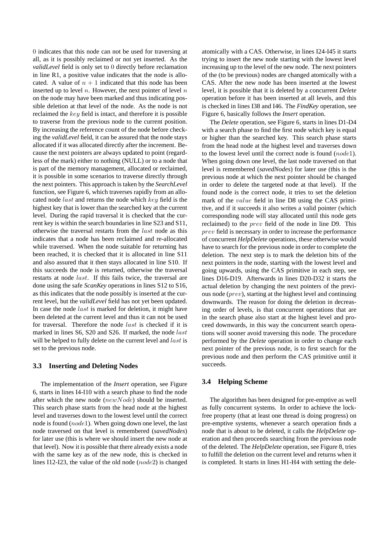0 indicates that this node can not be used for traversing at all, as it is possibly reclaimed or not yet inserted. As the *validLevel* field is only set to 0 directly before reclamation in line R1, a positive value indicates that the node is allocated. A value of  $n + 1$  indicated that this node has been inserted up to level  $n$ . However, the next pointer of level  $n$ on the node may have been marked and thus indicating possible deletion at that level of the node. As the node is not reclaimed the key field is intact, and therefore it is possible to traverse from the previous node to the current position. By increasing the reference count of the node before checking the *validLevel* field, it can be assured that the node stays allocated if it was allocated directly after the increment. Because the next pointers are always updated to point (regardless of the mark) either to nothing (NULL) or to a node that is part of the memory management, allocated or reclaimed, it is possible in some scenarios to traverse directly through the next pointers. This approach is taken by the *SearchLevel* function, see Figure 6, which traverses rapidly from an allocated node last and returns the node which key field is the highest key that is lower than the searched key at the current level. During the rapid traversal it is checked that the current key is within the search boundaries in line S23 and S11, otherwise the traversal restarts from the last node as this indicates that a node has been reclaimed and re-allocated while traversed. When the node suitable for returning has been reached, it is checked that it is allocated in line S11 and also assured that it then stays allocated in line S10. If this succeeds the node is returned, otherwise the traversal restarts at node last. If this fails twice, the traversal are done using the safe *ScanKey* operations in lines S12 to S16, as this indicates that the node possibly is inserted at the current level, but the *validLevel* field has not yet been updated. In case the node *last* is marked for deletion, it might have been deleted at the current level and thus it can not be used for traversal. Therefore the node last is checked if it is marked in lines S6, S20 and S26. If marked, the node last will be helped to fully delete on the current level and *last* is set to the previous node.

#### **3.3 Inserting and Deleting Nodes**

The implementation of the *Insert* operation, see Figure 6, starts in lines I4-I10 with a search phase to find the node after which the new node (newNode) should be inserted. This search phase starts from the head node at the highest level and traverses down to the lowest level until the correct node is found (node1). When going down one level, the last node traversed on that level is remembered (*savedNodes*) for later use (this is where we should insert the new node at that level). Now it is possible that there already exists a node with the same key as of the new node, this is checked in lines I12-I23, the value of the old node (node2) is changed atomically with a CAS. Otherwise, in lines I24-I45 it starts trying to insert the new node starting with the lowest level increasing up to the level of the new node. The next pointers of the (to be previous) nodes are changed atomically with a CAS. After the new node has been inserted at the lowest level, it is possible that it is deleted by a concurrent *Delete* operation before it has been inserted at all levels, and this is checked in lines I38 and I46. The *FindKey* operation, see Figure 6, basically follows the *Insert* operation.

The *Delete* operation, see Figure 6, starts in lines D1-D4 with a search phase to find the first node which key is equal or higher than the searched key. This search phase starts from the head node at the highest level and traverses down to the lowest level until the correct node is found (node1). When going down one level, the last node traversed on that level is remembered (*savedNodes*) for later use (this is the previous node at which the next pointer should be changed in order to delete the targeted node at that level). If the found node is the correct node, it tries to set the deletion mark of the value field in line D8 using the CAS primitive, and if it succeeds it also writes a valid pointer (which corresponding node will stay allocated until this node gets reclaimed) to the prev field of the node in line D9. This prev field is necessary in order to increase the performance of concurrent *HelpDelete* operations, these otherwise would have to search for the previous node in order to complete the deletion. The next step is to mark the deletion bits of the next pointers in the node, starting with the lowest level and going upwards, using the CAS primitive in each step, see lines D16-D19. Afterwards in lines D20-D32 it starts the actual deletion by changing the next pointers of the previous node (prev), starting at the highest level and continuing downwards. The reason for doing the deletion in decreasing order of levels, is that concurrent operations that are in the search phase also start at the highest level and proceed downwards, in this way the concurrent search operations will sooner avoid traversing this node. The procedure performed by the *Delete* operation in order to change each next pointer of the previous node, is to first search for the previous node and then perform the CAS primitive until it succeeds.

#### **3.4 Helping Scheme**

The algorithm has been designed for pre-emptive as well as fully concurrent systems. In order to achieve the lockfree property (that at least one thread is doing progress) on pre-emptive systems, whenever a search operation finds a node that is about to be deleted, it calls the *HelpDelete* operation and then proceeds searching from the previous node of the deleted. The *HelpDelete* operation, see Figure 8, tries to fulfill the deletion on the current level and returns when it is completed. It starts in lines H1-H4 with setting the dele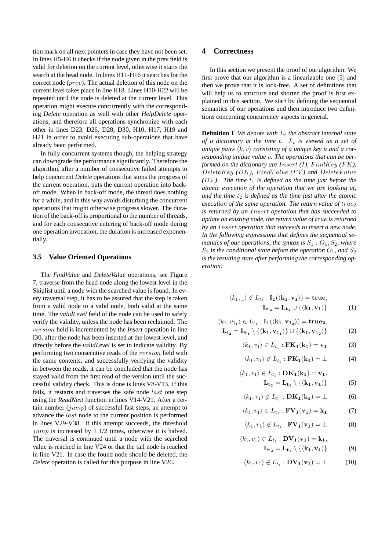tion mark on all next pointers in case they have not been set. In lines H5-H6 it checks if the node given in the prev field is valid for deletion on the current level, otherwise it starts the search at the head node. In lines H11-H16 it searches for the correct node (prev). The actual deletion of this node on the current level takes place in line H18. Lines H10-H22 will be repeated until the node is deleted at the current level. This operation might execute concurrently with the corresponding *Delete* operation as well with other *HelpDelete* operations, and therefore all operations synchronize with each other in lines D23, D26, D28, D30, H10, H17, H19 and H21 in order to avoid executing sub-operations that have already been performed.

In fully concurrent systems though, the helping strategy can downgrade the performance significantly. Therefore the algorithm, after a number of consecutive failed attempts to help concurrent *Delete* operations that stops the progress of the current operation, puts the current operation into backoff mode. When in back-off mode, the thread does nothing for a while, and in this way avoids disturbing the concurrent operations that might otherwise progress slower. The duration of the back-off is proportional to the number of threads, and for each consecutive entering of back-off mode during one operation invocation, the duration is increased exponentially.

#### **3.5 Value Oriented Operations**

The *FindValue* and *DeleteValue* operations, see Figure 7, traverse from the head node along the lowest level in the Skiplist until a node with the searched value is found. In every traversal step, it has to be assured that the step is taken from a valid node to a valid node, both valid at the same time. The *validLevel* field of the node can be used to safely verify the validity, unless the node has been reclaimed. The version field is incremented by the *Insert* operation in line I30, after the node has been inserted at the lowest level, and directly before the *validLevel* is set to indicate validity. By performing two consecutive reads of the version field with the same contents, and successfully verifying the validity in between the reads, it can be concluded that the node has stayed valid from the first read of the version until the successful validity check. This is done is lines V8-V13. If this fails, it restarts and traverses the safe node last one step using the *ReadNext* function in lines V14-V21. After a certain number  $(jump)$  of successful fast steps, an attempt to advance the last node to the current position is performed in lines V29-V38. If this attempt succeeds, the threshold  $jump$  is increased by 1 1/2 times, otherwise it is halved. The traversal is continued until a node with the searched value is reached in line V24 or that the tail node is reached in line V21. In case the found node should be deleted, the *Delete* operation is called for this purpose in line V26.

# **4 Correctness**

In this section we present the proof of our algorithm. We first prove that our algorithm is a linearizable one [5] and then we prove that it is lock-free. A set of definitions that will help us to structure and shorten the proof is first explained in this section. We start by defining the sequential semantics of our operations and then introduce two definitions concerning concurrency aspects in general.

**Definition 1** *We denote with*  $L_t$  *the abstract internal state of a dictionary at the time t.*  $L_t$  *is viewed as a set of unique pairs*  $\langle k, v \rangle$  *consisting of a unique key k and a corresponding unique value* v*. The operations that can be performed on the dictionary are*  $Insert (I), Find Key (FK),$  $DeleteKey (DK)$ ,  $FindValue (FV)$  and  $DeleteValue$  $(DV)$ *. The time*  $t_1$  *is defined as the time just before the atomic execution of the operation that we are looking at,* and the time  $t_2$  *is defined as the time just after the atomic execution of the same operation. The return value of true*<sub>2</sub> *is returned by an* Insert *operation that has succeeded to update an existing node, the return value of* true *is returned by an* Insert *operation that succeeds to insert a new node. In the following expressions that defines the sequential semantics of our operations, the syntax is*  $S_1$  :  $O_1$ ,  $S_2$ *, where*  $S_1$  *is the conditional state before the operation*  $O_1$ *, and*  $S_2$ *is the resulting state after performing the corresponding operation:*

$$
\langle k_1, \_\rangle \notin L_{t_1} : \mathbf{I}_1(\langle \mathbf{k_1}, \mathbf{v_1} \rangle) = \mathbf{true},
$$

$$
\mathbf{L}_{t_2} = \mathbf{L}_{t_1} \cup \{\langle \mathbf{k_1}, \mathbf{v_1} \rangle\}
$$
(1)

$$
\langle k_1, v_{1_1} \rangle \in L_{t_1} : \mathbf{I}_1(\langle \mathbf{k}_1, \mathbf{v}_{1_2} \rangle) = \mathbf{true}_2,
$$
  

$$
\mathbf{L}_{\mathbf{t}_2} = \mathbf{L}_{\mathbf{t}_1} \setminus \{ \langle \mathbf{k}_1, \mathbf{v}_{1_1} \rangle \} \cup \{ \langle \mathbf{k}_1, \mathbf{v}_{1_2} \rangle \}
$$
 (2)

$$
\langle k_1, v_1 \rangle \in L_{t_1} : \mathbf{FK}_1(\mathbf{k_1}) = \mathbf{v_1}
$$
 (3)

$$
\langle k_1, v_1 \rangle \notin L_{t_1} : \mathbf{FK}_1(\mathbf{k_1}) = \bot \tag{4}
$$

$$
\langle k_1, v_1 \rangle \in L_{t_1} : \mathbf{DK}_1(\mathbf{k_1}) = \mathbf{v_1},
$$
  

$$
\mathbf{L}_{\mathbf{t_2}} = \mathbf{L}_{\mathbf{t_1}} \setminus \{ \langle \mathbf{k_1}, \mathbf{v_1} \rangle \}
$$
 (5)

$$
\langle k_1, v_1 \rangle \notin L_{t_1} : \mathbf{DK}_1(\mathbf{k_1}) = \bot \tag{6}
$$

$$
\langle k_1, v_1 \rangle \in L_{t_1} : \mathbf{FV_1}(v_1) = k_1 \tag{7}
$$

$$
\langle k_1, v_1 \rangle \notin L_{t_1} : \mathbf{FV}_1(\mathbf{v}_1) = \bot \tag{8}
$$

$$
\langle k_1, v_1 \rangle \in L_{t_1} : \mathbf{DV}_1(\mathbf{v}_1) = \mathbf{k_1},
$$
  

$$
\mathbf{L}_{\mathbf{t}_2} = \mathbf{L}_{\mathbf{t}_1} \setminus \{ \langle \mathbf{k}_1, \mathbf{v}_1 \rangle \}
$$
(9)

$$
\langle k_1, v_1 \rangle \notin L_{t_1} : \mathbf{DV}_1(\mathbf{v}_1) = \bot \tag{10}
$$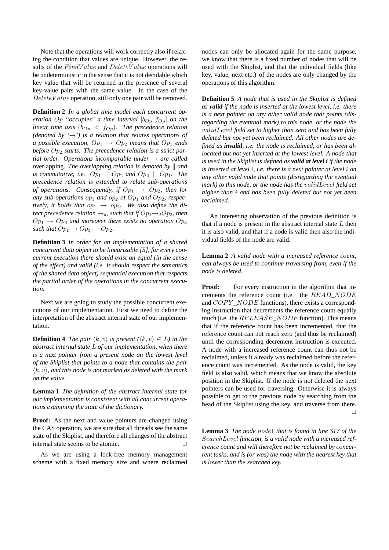Note that the operations will work correctly also if relaxing the condition that values are unique. However, the results of the  $FindValue$  and  $DeleteValue$  operations will be undeterministic in the sense that it is not decidable which key value that will be returned in the presence of several key-value pairs with the same value. In the case of the  $DeleteValue$  operation, still only one pair will be removed.

**Definition 2** *In a global time model each concurrent operation*  $Op$  "*occupies*" *a time interval*  $[b<sub>Op</sub>, f<sub>Op</sub>]$  *on the linear time axis* ( $b_{Op} < f_{Op}$ ). The precedence relation *(denoted by '*→*') is a relation that relates operations of a possible execution,*  $Op_1 \rightarrow Op_2$  *means that*  $Op_1$  *ends* before Op<sub>2</sub> starts. The precedence relation is a strict par*tial order. Operations incomparable under*  $\rightarrow$  *are called* overlapping. The overlapping relation is denoted by  $\parallel$  and *is commutative, i.e.*  $Op_1 \parallel Op_2$  *and*  $Op_2 \parallel Op_1$ *. The precedence relation is extended to relate sub-operations of operations.* Consequently, if  $Op_1 \rightarrow Op_2$ , then for any sub-operations  $op_1$  and  $op_2$  of  $Op_1$  and  $Op_2$ , respec*tively, it holds that*  $op_1 \rightarrow op_2$ . We also define the di*rect precedence relation*  $\rightarrow_d$ *, such that if*  $Op_1 \rightarrow_d Op_2$ *, then*  $Op_1 \rightarrow Op_2$  and moreover there exists no operation  $Op_3$ *such that*  $Op_1 \rightarrow Op_3 \rightarrow Op_2$ .

**Definition 3** *In order for an implementation of a shared concurrent data object to be linearizable [5], for every concurrent execution there should exist an equal (in the sense of the effect) and valid (i.e. it should respect the semantics of the shared data object) sequential execution that respects the partial order of the operations in the concurrent execution.*

Next we are going to study the possible concurrent executions of our implementation. First we need to define the interpretation of the abstract internal state of our implementation.

**Definition 4** *The pair*  $\langle k, v \rangle$  *is present*  $(\langle k, v \rangle \in L)$  *in the abstract internal state* L *of our implementation, when there is a next pointer from a present node on the lowest level of the Skiplist that points to a node that contains the pair*  $\langle k, v \rangle$ , and this node is not marked as deleted with the mark *on the value.*

**Lemma 1** *The definition of the abstract internal state for our implementation is consistent with all concurrent operations examining the state of the dictionary.*

**Proof:** As the next and value pointers are changed using the CAS operation, we are sure that all threads see the same state of the Skiplist, and therefore all changes of the abstract internal state seems to be atomic.  $\Box$ 

As we are using a lock-free memory management scheme with a fixed memory size and where reclaimed nodes can only be allocated again for the same purpose, we know that there is a fixed number of nodes that will be used with the Skiplist, and that the individual fields (like key, value, next etc.) of the nodes are only changed by the operations of this algorithm.

**Definition 5** *A node that is used in the Skiplist is defined as valid if the node is inserted at the lowest level, i.e. there is a next pointer on any other valid node that points (disregarding the eventual mark) to this node, or the node the* validLevel *field set to higher than zero and has been fully deleted but not yet been reclaimed. All other nodes are defined as invalid, i.e. the node is reclaimed, or has been allocated but not yet inserted at the lowest level. A node that is used in the Skiplist is defined as valid at level i if the node is inserted at level* i*, i.e. there is a next pointer at level* i *on any other valid node that points (disregarding the eventual mark) to this node, or the node has the* validLevel *field set higher than* i *and has been fully deleted but not yet been reclaimed.*

An interesting observation of the previous definition is that if a node is present in the abstract internal state  $L$  then it is also valid, and that if a node is valid then also the individual fields of the node are valid.

**Lemma 2** *A valid node with a increased reference count, can always be used to continue traversing from, even if the node is deleted.*

**Proof:** For every instruction in the algorithm that increments the reference count (i.e. the READ\_NODE and COPY\_NODE functions), there exists a corresponding instruction that decrements the reference count equally much (i.e. the  $RELEASE$  NODE function). This means that if the reference count has been incremented, that the reference count can not reach zero (and thus be reclaimed) until the corresponding decrement instruction is executed. A node with a increased reference count can thus not be reclaimed, unless it already was reclaimed before the reference count was incremented. As the node is valid, the key field is also valid, which means that we know the absolute position in the Skiplist. If the node is not deleted the next pointers can be used for traversing. Otherwise it is always possible to get to the previous node by searching from the head of the Skiplist using the key, and traverse from there.  $\Box$ 

**Lemma 3** *The node* node1 *that is found in line S17 of the* SearchLevel *function, is a valid node with a increased reference count and will therefore not be reclaimed by concurrent tasks, and is (or was) the node with the nearest key that is lower than the searched key.*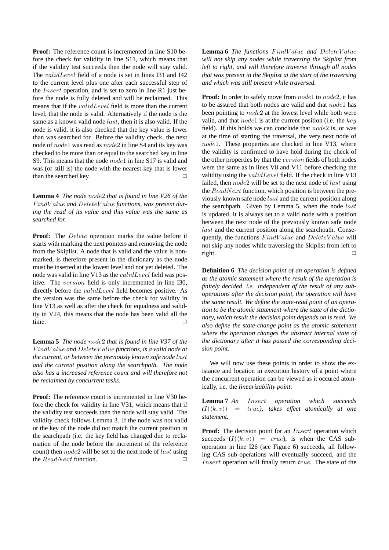**Proof:** The reference count is incremented in line S10 before the check for validity in line S11, which means that if the validity test succeeds then the node will stay valid. The validLevel field of a node is set in lines I31 and I42 to the current level plus one after each successful step of the *Insert* operation, and is set to zero in line R1 just before the node is fully deleted and will be reclaimed. This means that if the validLevel field is more than the current level, that the node is valid. Alternatively if the node is the same as a known valid node last, then it is also valid. If the node is valid, it is also checked that the key value is lower than was searched for. Before the validity check, the next node of node1 was read as node2 in line S4 and its key was checked to be more than or equal to the searched key in line S9. This means that the node node1 in line S17 is valid and was (or still is) the node with the nearest key that is lower than the searched key.  $\Box$ 

**Lemma 4** *The node* node2 *that is found in line V26 of the* F indV alue *and* DeleteV alue *functions, was present during the read of its value and this value was the same as searched for.*

**Proof:** The *Delete* operation marks the value before it starts with marking the next pointers and removing the node from the Skiplist. A node that is valid and the value is nonmarked, is therefore present in the dictionary as the node must be inserted at the lowest level and not yet deleted. The node was valid in line V13 as the validLevel field was positive. The version field is only incremented in line I30, directly before the validLevel field becomes positive. As the version was the same before the check for validity in line V13 as well as after the check for equalness and validity in V24, this means that the node has been valid all the time.  $\Box$ 

**Lemma 5** *The node* node2 *that is found in line V37 of the* F indV alue *and* DeleteV alue *functions, is a valid node at the current, or between the previously known safe node* last *and the current position along the searchpath. The node also has a increased reference count and will therefore not be reclaimed by concurrent tasks.*

**Proof:** The reference count is incremented in line V30 before the check for validity in line V31, which means that if the validity test succeeds then the node will stay valid. The validity check follows Lemma 3. If the node was not valid or the key of the node did not match the current position in the searchpath (i.e. the key field has changed due to reclamation of the node before the increment of the reference count) then  $node2$  will be set to the next node of *last* using<br>the *Read Next* function the  $ReadNext$  function.

**Lemma 6** *The functions FindValue and DeleteValue will not skip any nodes while traversing the Skiplist from left to right, and will therefore traverse through all nodes that was present in the Skiplist at the start of the traversing and which was still present while traversed.*

**Proof:** In order to safely move from  $node1$  to  $node2$ , it has to be assured that both nodes are valid and that node1 has been pointing to node2 at the lowest level while both were valid, and that  $node1$  is at the current position (i.e. the  $key$ field). If this holds we can conclude that  $node2$  is, or was at the time of starting the traversal, the very next node of node1. These properties are checked in line V13, where the validity is confirmed to have hold during the check of the other properties by that the version fields of both nodes were the same as in lines V8 and V11 before checking the validity using the validLevel field. If the check in line V13 failed, then  $node2$  will be set to the next node of  $last$  using the  $ReadNext$  function, which position is between the previously known safe node last and the current position along the searchpath. Given by Lemma 5, when the node  $last$ is updated, it is always set to a valid node with a position between the next node of the previously known safe node last and the current position along the searchpath. Consequently, the functions  $FindValue$  and  $DeleteValue$  will not skip any nodes while traversing the Skiplist from left to  $right.$ 

**Definition 6** *The decision point of an operation is defined as the atomic statement where the result of the operation is finitely decided, i.e. independent of the result of any suboperations after the decision point, the operation will have the same result. We define the state-read point of an operation to be the atomic statement where the state of the dictionary, which result the decision point depends on is read. We also define the state-change point as the atomic statement where the operation changes the abstract internal state of the dictionary after it has passed the corresponding decision point.*

We will now use these points in order to show the existance and location in execution history of a point where the concurrent operation can be viewed as it occured atomically, i.e. the *linearizability point*.

**Lemma 7** *An* Insert *operation which succeeds*  $(I(\langle k, v \rangle)) = true$ , takes effect atomically at one *statement.*

**Proof:** The decision point for an *Insert* operation which succeeds  $(I(\langle k, v \rangle) = true)$ , is when the CAS suboperation in line I26 (see Figure 6) succeeds, all following CAS sub-operations will eventually succeed, and the *Insert* operation will finally return  $true$ . The state of the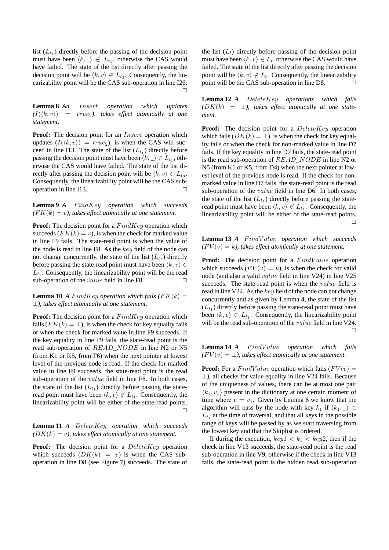list  $(L_{t_1})$  directly before the passing of the decision point must have been  $\langle k, \_\rangle \notin L_{t_1}$ , otherwise the CAS would have failed. The state of the list directly after passing the decision point will be  $\langle k, v \rangle \in L_{t_2}$ . Consequently, the linearizability point will be the CAS sub-operation in line I26.  $\Box$ 

**Lemma 8** *An* Insert *operation which updates*  $(I(\langle k, v \rangle)$  = true<sub>2</sub>), takes effect atomically at one *statement.*

**Proof:** The decision point for an *Insert* operation which updates  $(I(\langle k, v \rangle) = true_2)$ , is when the CAS will succeed in line I13. The state of the list  $(L_{t_1})$  directly before passing the decision point must have been  $\langle k, \_\rangle \in L_t$ , otherwise the CAS would have failed. The state of the list directly after passing the decision point will be  $\langle k, v \rangle \in L_{t_3}$ . Consequently, the linearizability point will be the CAS suboperation in line I13.  $\Box$ 

**Lemma 9** *A* FindKey operation which succeeds  $(FK(k) = v)$ , takes effect atomically at one statement.

**Proof:** The decision point for a  $FindKey$  operation which succeeds  $(FK(k) = v)$ , is when the check for marked value in line F9 fails. The state-read point is when the value of the node is read in line F8. As the key field of the node can not change concurrently, the state of the list  $(L_{t_1})$  directly before passing the state-read point must have been  $\langle k, v \rangle \in$  $L_{t_1}$ . Consequently, the linearizability point will be the read sub-operation of the *value* field in line F8.  $\Box$ 

**Lemma 10** *A* FindKey operation which fails  $(FK(k))$ ⊥*), takes effect atomically at one statement.*

**Proof:** The decision point for a  $FindKey$  operation which fails  $(FK(k) = \perp)$ , is when the check for key equality fails or when the check for marked value in line F9 succeeds. If the key equality in line F9 fails, the state-read point is the read sub-operation of READ\_NODE in line N2 or N5 (from K1 or K5, from F6) when the next pointer at lowest level of the previous node is read. If the check for marked value in line F9 succeeds, the state-read point is the read sub-operation of the value field in line F8. In both cases, the state of the list  $(L_{t_1})$  directly before passing the stateread point must have been  $\langle k, v \rangle \notin L_{t_1}$ . Consequently, the linearizability point will be either of the state-read points.  $\Box$ 

**Lemma 11** *A* DeleteKey *operation which succeeds*  $(DK(k) = v)$ , takes effect atomically at one statement.

**Proof:** The decision point for a  $DeleteKey$  operation which succeeds  $(DK(k) = v)$  is when the CAS suboperation in line D8 (see Figure 7) succeeds. The state of the list  $(L_t)$  directly before passing of the decision point must have been  $\langle k, v \rangle \in L_t$ , otherwise the CAS would have failed. The state of the list directly after passing the decision point will be  $\langle k, v \rangle \notin L_t$ . Consequently, the linearizability point will be the CAS sub-operation in line D8.  $\Box$ 

**Lemma 12** *A* DeleteKey *operations which fails*  $(DK(k) = \perp)$ , takes effect atomically at one state*ment.*

**Proof:** The decision point for a DeleteKey operation which fails  $(DK(k) = \perp)$ , is when the check for key equality fails or when the check for non-marked value in line D7 fails. If the key equality in line D7 fails, the state-read point is the read sub-operation of READ\_NODE in line N2 or N5 (from K1 or K5, from D4) when the next pointer at lowest level of the previous node is read. If the check for nonmarked value in line D7 fails, the state-read point is the read sub-operation of the *value* field in line D6. In both cases, the state of the list  $(L_{t_1})$  directly before passing the stateread point must have been  $\langle k, v \rangle \notin L_t$ . Consequently, the linearizability point will be either of the state-read points.  $\Box$ 

**Lemma 13** *A* FindValue operation which succeeds  $(FV(v) = k)$ , takes effect atomically at one statement.

**Proof:** The decision point for a FindValue operation which succeeds  $(FV(v) = k)$ , is when the check for valid node (and also a valid value field in line V24) in line V25 succeeds. The state-read point is when the *value* field is read in line V24. As the key field of the node can not change concurrently and as given by Lemma 4, the state of the list  $(L_{t_1})$  directly before passing the state-read point must have been  $\langle k, v \rangle \in L_{t_1}$ . Consequently, the linearizability point will be the read sub-operation of the *value* field in line V24.  $\Box$ 

**Lemma 14** *A* FindValue operation which fails  $(FV(v) = \bot)$ , takes effect atomically at one statement.

**Proof:** For a  $FindValue$  operation which fails  $(FV(v) =$  $\perp$ ), all checks for value equality in line V24 fails. Because of the uniqueness of values, there can be at most one pair  $\langle k_1, v_1 \rangle$  present in the dictionary at one certain moment of time where  $v = v_1$ . Given by Lemma 6 we know that the algorithm will pass by the node with key  $k_1$  if  $\langle k_1, \_\rangle \in$  $L_{t_1}$  at the time of traversal, and that all keys in the possible range of keys will be passed by as we start traversing from the lowest key and that the Skiplist is ordered.

If during the execution,  $key1 < k_1 < key2$ , then if the check in line V13 succeeds, the state-read point is the read sub-operation in line V9, otherwise if the check in line V13 fails, the state-read point is the hidden read sub-operation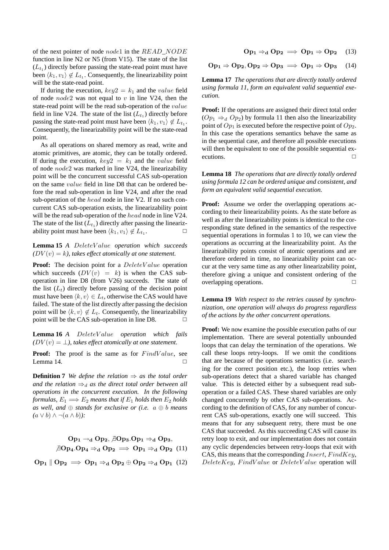of the next pointer of node node1 in the READ\_NODE function in line N2 or N5 (from V15). The state of the list  $(L_{t_1})$  directly before passing the state-read point must have been  $\langle k_1, v_1 \rangle \notin L_{t_1}$ . Consequently, the linearizability point will be the state-read point.

If during the execution,  $key2 = k_1$  and the *value* field of node  $node2$  was not equal to v in line V24, then the state-read point will be the read sub-operation of the value field in line V24. The state of the list  $(L_{t_1})$  directly before passing the state-read point must have been  $\langle k_1, v_1 \rangle \notin L_{t_1}$ . Consequently, the linearizability point will be the state-read point.

As all operations on shared memory as read, write and atomic primitives, are atomic, they can be totally ordered. If during the execution,  $key2 = k_1$  and the value field of node node2 was marked in line V24, the linearizability point will be the concurrent successful CAS sub-operation on the same value field in line D8 that can be ordered before the read sub-operation in line V24, and after the read sub-operation of the head node in line V2. If no such concurrent CAS sub-operation exists, the linearizability point will be the read sub-operation of the *head* node in line V24. The state of the list  $(L_{t_1})$  directly after passing the linearizability point must have been  $\langle k_1, v_1 \rangle \notin L_t$ .

**Lemma 15** *A* DeleteV alue *operation which succeeds*  $(DV(v) = k)$ , takes effect atomically at one statement.

**Proof:** The decision point for a *DeleteValue* operation which succeeds  $(DV(v) = k)$  is when the CAS suboperation in line D8 (from V26) succeeds. The state of the list  $(L_t)$  directly before passing of the decision point must have been  $\langle k, v \rangle \in L_t$ , otherwise the CAS would have failed. The state of the list directly after passing the decision point will be  $\langle k, v \rangle \notin L_t$ . Consequently, the linearizability point will be the CAS sub-operation in line D8.  $\Box$ 

**Lemma 16** *A* DeleteV alue *operation which fails*  $(DV(v) = \perp)$ , takes effect atomically at one statement.

**Proof:** The proof is the same as for  $FindValue$ , see Lemma 14.  $\Box$ 

**Definition 7** *We define the relation*  $\Rightarrow$  *as the total order and the relation*  $\Rightarrow_d$  *as the direct total order between all operations in the concurrent execution. In the following formulas,*  $E_1 \Longrightarrow E_2$  *means that if*  $E_1$  *holds then*  $E_2$  *holds as well, and* ⊕ *stands for exclusive or (i.e.* a ⊕ b *means*  $(a ∨ b) ∧ ∩ (a ∧ b)$ *)*:

$$
Op_1 \rightarrow_d Op_2, \not\exists Op_3. Op_1 \Rightarrow_d Op_3, \\ \not\exists Op_4. Op_4 \Rightarrow_d Op_2 \implies Op_1 \Rightarrow_d Op_2 \text{ (11)}
$$

$$
Op_1 \parallel Op_2 \implies Op_1 \Rightarrow_d Op_2 \oplus Op_2 \Rightarrow_d Op_1 (12)
$$

 $\text{Op}_1 \Rightarrow_\text{d} \text{Op}_2 \implies \text{Op}_1 \Rightarrow \text{Op}_2$  (13)

$$
Op_1 \Rightarrow Op_2, Op_2 \Rightarrow Op_3 \implies Op_1 \Rightarrow Op_3 \quad (14)
$$

**Lemma 17** *The operations that are directly totally ordered using formula 11, form an equivalent valid sequential execution.*

**Proof:** If the operations are assigned their direct total order  $(Dp_1 \Rightarrow_d Dp_2)$  by formula 11 then also the linearizability point of  $Op_1$  is executed before the respective point of  $Op_2$ . In this case the operations semantics behave the same as in the sequential case, and therefore all possible executions will then be equivalent to one of the possible sequential executions.

**Lemma 18** *The operations that are directly totally ordered using formula 12 can be ordered unique and consistent, and form an equivalent valid sequential execution.*

**Proof:** Assume we order the overlapping operations according to their linearizability points. As the state before as well as after the linearizability points is identical to the corresponding state defined in the semantics of the respective sequential operations in formulas 1 to 10, we can view the operations as occurring at the linearizability point. As the linearizability points consist of atomic operations and are therefore ordered in time, no linearizability point can occur at the very same time as any other linearizability point, therefore giving a unique and consistent ordering of the overlapping operations.

**Lemma 19** *With respect to the retries caused by synchronization, one operation will always do progress regardless of the actions by the other concurrent operations.*

**Proof:** We now examine the possible execution paths of our implementation. There are several potentially unbounded loops that can delay the termination of the operations. We call these loops retry-loops. If we omit the conditions that are because of the operations semantics (i.e. searching for the correct position etc.), the loop retries when sub-operations detect that a shared variable has changed value. This is detected either by a subsequent read suboperation or a failed CAS. These shared variables are only changed concurrently by other CAS sub-operations. According to the definition of CAS, for any number of concurrent CAS sub-operations, exactly one will succeed. This means that for any subsequent retry, there must be one CAS that succeeded. As this succeeding CAS will cause its retry loop to exit, and our implementation does not contain any cyclic dependencies between retry-loops that exit with CAS, this means that the corresponding  $Insert, FindKey,$  $DeleteKey, FindValue$  or  $DeleteValue$  operation will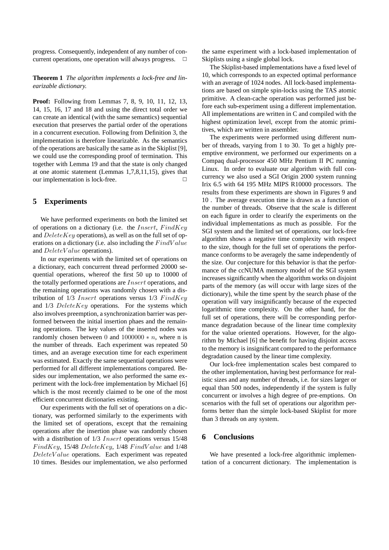progress. Consequently, independent of any number of concurrent operations, one operation will always progress.  $\Box$ 

#### **Theorem 1** *The algorithm implements a lock-free and linearizable dictionary.*

**Proof:** Following from Lemmas 7, 8, 9, 10, 11, 12, 13, 14, 15, 16, 17 and 18 and using the direct total order we can create an identical (with the same semantics) sequential execution that preserves the partial order of the operations in a concurrent execution. Following from Definition 3, the implementation is therefore linearizable. As the semantics of the operations are basically the same as in the Skiplist [9], we could use the corresponding proof of termination. This together with Lemma 19 and that the state is only changed at one atomic statement (Lemmas 1,7,8,11,15), gives that our implementation is lock-free.  $\Box$ 

# **5 Experiments**

We have performed experiments on both the limited set of operations on a dictionary (i.e. the Insert,  $FindKey$ and  $DeleteKey$  operations), as well as on the full set of operations on a dictionary (i.e. also including the  $FindValue$ and DeleteValue operations).

In our experiments with the limited set of operations on a dictionary, each concurrent thread performed 20000 sequential operations, whereof the first 50 up to 10000 of the totally performed operations are Insert operations, and the remaining operations was randomly chosen with a distribution of  $1/3$  *Insert* operations versus  $1/3$  *FindKey* and  $1/3$  Delete $Key$  operations. For the systems which also involves preemption, a synchronization barrier was performed between the initial insertion phaes and the remaining operations. The key values of the inserted nodes was randomly chosen between 0 and  $1000000 * n$ , where n is the number of threads. Each experiment was repeated 50 times, and an average execution time for each experiment was estimated. Exactly the same sequential operations were performed for all different implementations compared. Besides our implementation, we also performed the same experiment with the lock-free implementation by Michael [6] which is the most recently claimed to be one of the most efficient concurrent dictionaries existing.

Our experiments with the full set of operations on a dictionary, was performed similarly to the experiments with the limited set of operations, except that the remaining operations after the insertion phase was randomly chosen with a distribution of 1/3 Insert operations versus 15/48  $FindKey, 15/48$  DeleteKey, 1/48 FindValue and 1/48 DeleteV alue operations. Each experiment was repeated 10 times. Besides our implementation, we also performed the same experiment with a lock-based implementation of Skiplists using a single global lock.

The Skiplist-based implementations have a fixed level of 10, which corresponds to an expected optimal performance with an average of 1024 nodes. All lock-based implementations are based on simple spin-locks using the TAS atomic primitive. A clean-cache operation was performed just before each sub-experiment using a different implementation. All implementations are written in C and compiled with the highest optimization level, except from the atomic primitives, which are written in assembler.

The experiments were performed using different number of threads, varying from 1 to 30. To get a highly preemptive environment, we performed our experiments on a Compaq dual-processor 450 MHz Pentium II PC running Linux. In order to evaluate our algorithm with full concurrency we also used a SGI Origin 2000 system running Irix 6.5 with 64 195 MHz MIPS R10000 processors. The results from these experiments are shown in Figures 9 and 10 . The average execution time is drawn as a function of the number of threads. Observe that the scale is different on each figure in order to clearify the experiments on the individual implementations as much as possible. For the SGI system and the limited set of operations, our lock-free algorithm shows a negative time complexity with respect to the size, though for the full set of operations the performance conforms to be averagely the same independently of the size. Our conjecture for this behavior is that the performance of the ccNUMA memory model of the SGI system increases significantly when the algorithm works on disjoint parts of the memory (as will occur with large sizes of the dictionary), while the time spent by the search phase of the operation will vary insignificantly because of the expected logarithmic time complexity. On the other hand, for the full set of operations, there will be corresponding performance degradation because of the linear time complexity for the value oriented operations. However, for the algorithm by Michael [6] the benefit for having disjoint access to the memory is insignificant compared to the performance degradation caused by the linear time complexity.

Our lock-free implementation scales best compared to the other implementation, having best performance for realistic sizes and any number of threads, i.e. for sizes larger or equal than 500 nodes, independently if the system is fully concurrent or involves a high degree of pre-emptions. On scenarios with the full set of operations our algorithm performs better than the simple lock-based Skiplist for more than 3 threads on any system.

## **6 Conclusions**

We have presented a lock-free algorithmic implementation of a concurrent dictionary. The implementation is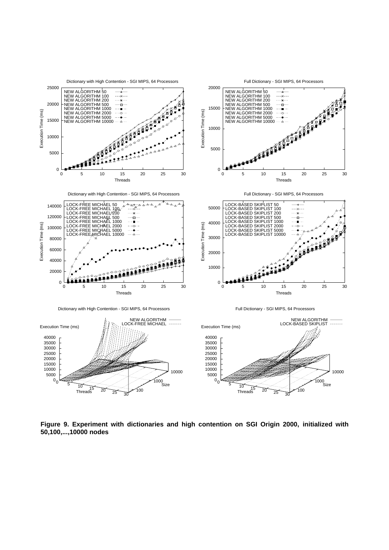

**Figure 9. Experiment with dictionaries and high contention on SGI Origin 2000, initialized with 50,100,...,10000 nodes**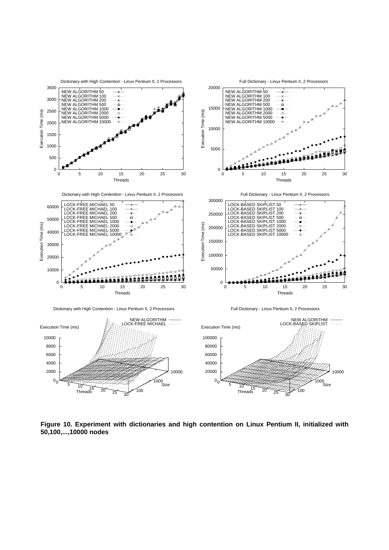

**Figure 10. Experiment with dictionaries and high contention on Linux Pentium II, initialized with 50,100,...,10000 nodes**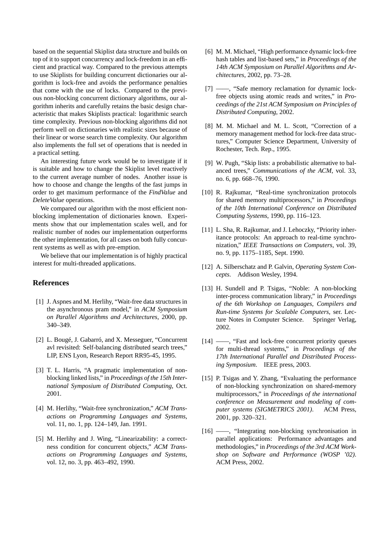based on the sequential Skiplist data structure and builds on top of it to support concurrency and lock-freedom in an efficient and practical way. Compared to the previous attempts to use Skiplists for building concurrent dictionaries our algorithm is lock-free and avoids the performance penalties that come with the use of locks. Compared to the previous non-blocking concurrent dictionary algorithms, our algorithm inherits and carefully retains the basic design characteristic that makes Skiplists practical: logarithmic search time complexity. Previous non-blocking algorithms did not perform well on dictionaries with realistic sizes because of their linear or worse search time complexity. Our algorithm also implements the full set of operations that is needed in a practical setting.

An interesting future work would be to investigate if it is suitable and how to change the Skiplist level reactively to the current average number of nodes. Another issue is how to choose and change the lengths of the fast jumps in order to get maximum performance of the *FindValue* and *DeleteValue* operations.

We compared our algorithm with the most efficient nonblocking implementation of dictionaries known. Experiments show that our implementation scales well, and for realistic number of nodes our implementation outperforms the other implementation, for all cases on both fully concurrent systems as well as with pre-emption.

We believe that our implementation is of highly practical interest for multi-threaded applications.

# **References**

- [1] J. Aspnes and M. Herlihy, "Wait-free data structures in the asynchronous pram model," in *ACM Symposium on Parallel Algorithms and Architectures*, 2000, pp. 340–349.
- [2] L. Bougé, J. Gabarró, and X. Messeguer, "Concurrent avl revisited: Self-balancing distributed search trees," LIP, ENS Lyon, Research Report RR95-45, 1995.
- [3] T. L. Harris, "A pragmatic implementation of nonblocking linked lists," in *Proceedings of the 15th International Symposium of Distributed Computing*, Oct. 2001.
- [4] M. Herlihy, "Wait-free synchronization," *ACM Transactions on Programming Languages and Systems*, vol. 11, no. 1, pp. 124–149, Jan. 1991.
- [5] M. Herlihy and J. Wing, "Linearizability: a correctness condition for concurrent objects," *ACM Transactions on Programming Languages and Systems*, vol. 12, no. 3, pp. 463–492, 1990.
- [6] M. M. Michael, "High performance dynamic lock-free hash tables and list-based sets," in *Proceedings of the 14th ACM Symposium on Parallel Algorithms and Architectures*, 2002, pp. 73–28.
- [7] ——, "Safe memory reclamation for dynamic lockfree objects using atomic reads and writes," in *Proceedings of the 21st ACM Symposium on Principles of Distributed Computing*, 2002.
- [8] M. M. Michael and M. L. Scott, "Correction of a memory management method for lock-free data structures," Computer Science Department, University of Rochester, Tech. Rep., 1995.
- [9] W. Pugh, "Skip lists: a probabilistic alternative to balanced trees," *Communications of the ACM*, vol. 33, no. 6, pp. 668–76, 1990.
- [10] R. Rajkumar, "Real-time synchronization protocols for shared memory multiprocessors," in *Proceedings of the 10th International Conference on Distributed Computing Systems*, 1990, pp. 116–123.
- [11] L. Sha, R. Rajkumar, and J. Lehoczky, "Priority inheritance protocols: An approach to real-time synchronization," *IEEE Transactions on Computers*, vol. 39, no. 9, pp. 1175–1185, Sept. 1990.
- [12] A. Silberschatz and P. Galvin, *Operating System Concepts*. Addison Wesley, 1994.
- [13] H. Sundell and P. Tsigas, "Noble: A non-blocking inter-process communication library," in *Proceedings of the 6th Workshop on Languages, Compilers and Run-time Systems for Scalable Computers*, ser. Lecture Notes in Computer Science. Springer Verlag, 2002.
- [14] ——, "Fast and lock-free concurrent priority queues for multi-thread systems," in *Proceedings of the 17th International Parallel and Distributed Processing Symposium*. IEEE press, 2003.
- [15] P. Tsigas and Y. Zhang, "Evaluating the performance" of non-blocking synchronization on shared-memory multiprocessors," in *Proceedings of the international conference on Measurement and modeling of computer systems (SIGMETRICS 2001)*. ACM Press, 2001, pp. 320–321.
- [16] ——, "Integrating non-blocking synchronisation in parallel applications: Performance advantages and methodologies," in *Proceedings of the 3rd ACM Workshop on Software and Performance (WOSP '02)*. ACM Press, 2002.